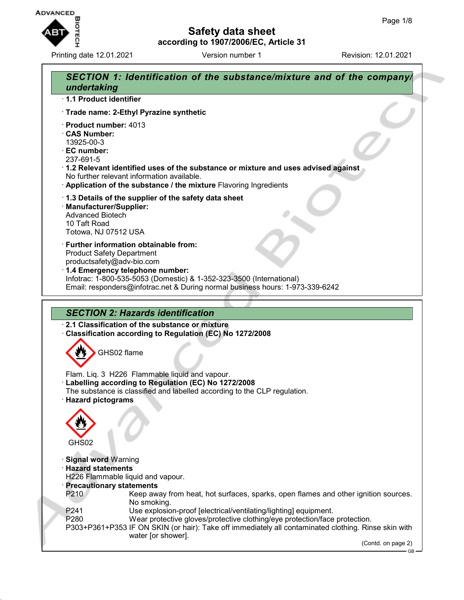

Printing date 12.01.2021 **Version number 1** Revision: 12.01.2021

## **Safety data sheet according to 1907/2006/EC, Article 31**

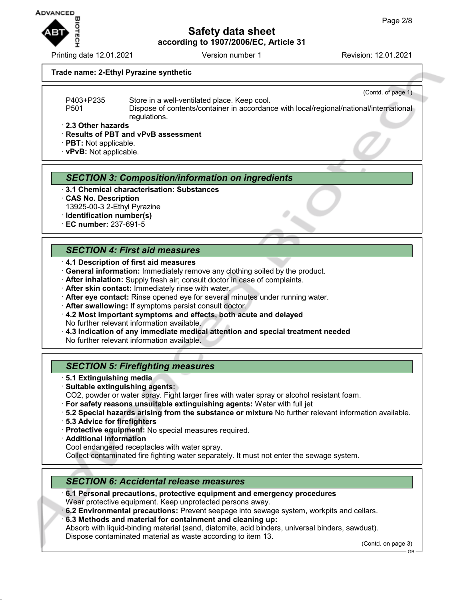

Printing date 12.01.2021 Version number 1 Revision: 12.01.2021

(Contd. of page 1)

#### **Trade name: 2-Ethyl Pyrazine synthetic**

P403+P235 Store in a well-ventilated place. Keep cool.

P501 Dispose of contents/container in accordance with local/regional/national/international regulations.

· **2.3 Other hazards**

#### · **Results of PBT and vPvB assessment**

· **PBT:** Not applicable.

· **vPvB:** Not applicable.

#### *SECTION 3: Composition/information on ingredients*

- · **3.1 Chemical characterisation: Substances**
- · **CAS No. Description** 13925-00-3 2-Ethyl Pyrazine
- · **Identification number(s)**
- · **EC number:** 237-691-5

## *SECTION 4: First aid measures*

- · **4.1 Description of first aid measures**
- · **General information:** Immediately remove any clothing soiled by the product.
- · **After inhalation:** Supply fresh air; consult doctor in case of complaints.
- · **After skin contact:** Immediately rinse with water.
- · **After eye contact:** Rinse opened eye for several minutes under running water.
- · **After swallowing:** If symptoms persist consult doctor.
- · **4.2 Most important symptoms and effects, both acute and delayed** No further relevant information available.
- · **4.3 Indication of any immediate medical attention and special treatment needed**

No further relevant information available.

#### *SECTION 5: Firefighting measures*

- · **5.1 Extinguishing media**
- · **Suitable extinguishing agents:**
- CO2, powder or water spray. Fight larger fires with water spray or alcohol resistant foam.
- · **For safety reasons unsuitable extinguishing agents:** Water with full jet
- · **5.2 Special hazards arising from the substance or mixture** No further relevant information available.
- · **5.3 Advice for firefighters**
- · **Protective equipment:** No special measures required.
- · **Additional information**
- Cool endangered receptacles with water spray.

Collect contaminated fire fighting water separately. It must not enter the sewage system.

#### *SECTION 6: Accidental release measures*

· **6.1 Personal precautions, protective equipment and emergency procedures** Wear protective equipment. Keep unprotected persons away.

· **6.2 Environmental precautions:** Prevent seepage into sewage system, workpits and cellars.

· **6.3 Methods and material for containment and cleaning up:**

Absorb with liquid-binding material (sand, diatomite, acid binders, universal binders, sawdust). Dispose contaminated material as waste according to item 13.

(Contd. on page 3)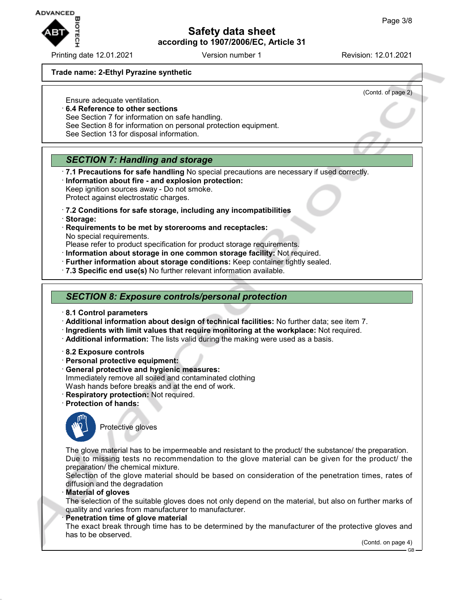

Printing date 12.01.2021 **Version number 1** Revision: 12.01.2021

#### **Trade name: 2-Ethyl Pyrazine synthetic**

(Contd. of page 2)

- Ensure adequate ventilation. · **6.4 Reference to other sections**
	- See Section 7 for information on safe handling.
	- See Section 8 for information on personal protection equipment.
	- See Section 13 for disposal information.

# *SECTION 7: Handling and storage*

- · **7.1 Precautions for safe handling** No special precautions are necessary if used correctly.
- · **Information about fire and explosion protection:** Keep ignition sources away - Do not smoke.
- Protect against electrostatic charges.
- · **7.2 Conditions for safe storage, including any incompatibilities**
- · **Storage:**
- · **Requirements to be met by storerooms and receptacles:** No special requirements.
- Please refer to product specification for product storage requirements.
- · **Information about storage in one common storage facility:** Not required.
- · **Further information about storage conditions:** Keep container tightly sealed.
- · **7.3 Specific end use(s)** No further relevant information available.

### *SECTION 8: Exposure controls/personal protection*

- · **8.1 Control parameters**
- · **Additional information about design of technical facilities:** No further data; see item 7.
- · **Ingredients with limit values that require monitoring at the workplace:** Not required.
- · **Additional information:** The lists valid during the making were used as a basis.
- · **8.2 Exposure controls**
- · **Personal protective equipment:**
- · **General protective and hygienic measures:** Immediately remove all soiled and contaminated clothing Wash hands before breaks and at the end of work.
- · **Respiratory protection:** Not required.
- · **Protection of hands:**



Protective gloves

The glove material has to be impermeable and resistant to the product/ the substance/ the preparation. Due to missing tests no recommendation to the glove material can be given for the product/ the preparation/ the chemical mixture.

Selection of the glove material should be based on consideration of the penetration times, rates of diffusion and the degradation

· **Material of gloves**

The selection of the suitable gloves does not only depend on the material, but also on further marks of quality and varies from manufacturer to manufacturer.

**Penetration time of glove material** 

The exact break through time has to be determined by the manufacturer of the protective gloves and has to be observed.

(Contd. on page 4)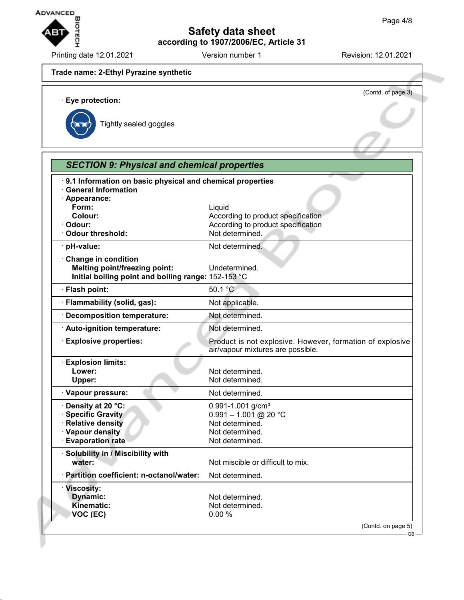

Printing date 12.01.2021 **Version number 1** Revision: 12.01.2021

# **Trade name: 2-Ethyl Pyrazine synthetic** (Contd. of page 3) · **Eye protection:** Tightly sealed goggles *SECTION 9: Physical and chemical properties* · **9.1 Information on basic physical and chemical properties** · **General Information** · **Appearance: Form:** Liquid **Colour:** Colour: **According to product specification** · **Odour:** According to product specification · Odour threshold: Not determined. · **pH-value:** Not determined. · **Change in condition Melting point/freezing point:** Undetermined. **Initial boiling point and boiling range:** 152-153 °C · **Flash point:** 50.1 °C · **Flammability (solid, gas):** Not applicable. · **Decomposition temperature:** Not determined. · **Auto-ignition temperature:** Not determined. · **Explosive properties:** Product is not explosive. However, formation of explosive air/vapour mixtures are possible. · **Explosion limits: Lower:**<br>
Upper: Not determined.<br>
Not determined. Not determined. **· Vapour pressure:** Not determined. · **Density at 20 °C:** 0.991-1.001 g/cm³ · **Specific Gravity** 0.991 – 1.001 @ 20 °C **· Relative density** Not determined. **Vapour density** Not determined. · **Evaporation rate Not determined.** · **Solubility in / Miscibility with** Not miscible or difficult to mix. · **Partition coefficient: n-octanol/water:** Not determined. · **Viscosity: Dynamic:** Not determined. Kinematic: Not determined. **VOC (EC)** 0.00 % (Contd. on page 5) GB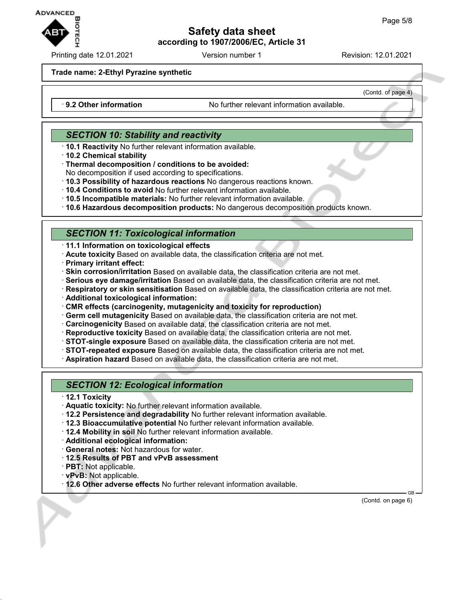

Printing date 12.01.2021 Version number 1 Revision: 12.01.2021

(Contd. of page 4)

#### **Trade name: 2-Ethyl Pyrazine synthetic**

· **9.2 Other information** No further relevant information available.

# *SECTION 10: Stability and reactivity*

- · **10.1 Reactivity** No further relevant information available.
- · **10.2 Chemical stability**
- · **Thermal decomposition / conditions to be avoided:**
- No decomposition if used according to specifications.
- · **10.3 Possibility of hazardous reactions** No dangerous reactions known.
- · **10.4 Conditions to avoid** No further relevant information available.
- · **10.5 Incompatible materials:** No further relevant information available.
- · **10.6 Hazardous decomposition products:** No dangerous decomposition products known.

# *SECTION 11: Toxicological information*

- · **11.1 Information on toxicological effects**
- · **Acute toxicity** Based on available data, the classification criteria are not met.
- · **Primary irritant effect:**
- · **Skin corrosion/irritation** Based on available data, the classification criteria are not met.
- · **Serious eye damage/irritation** Based on available data, the classification criteria are not met.
- · **Respiratory or skin sensitisation** Based on available data, the classification criteria are not met.
- · **Additional toxicological information:**
- · **CMR effects (carcinogenity, mutagenicity and toxicity for reproduction)**
- · **Germ cell mutagenicity** Based on available data, the classification criteria are not met.
- · **Carcinogenicity** Based on available data, the classification criteria are not met.
- · **Reproductive toxicity** Based on available data, the classification criteria are not met.
- · **STOT-single exposure** Based on available data, the classification criteria are not met.
- · **STOT-repeated exposure** Based on available data, the classification criteria are not met.
- · **Aspiration hazard** Based on available data, the classification criteria are not met.

# *SECTION 12: Ecological information*

- · **12.1 Toxicity**
- · **Aquatic toxicity:** No further relevant information available.
- · **12.2 Persistence and degradability** No further relevant information available.
- · **12.3 Bioaccumulative potential** No further relevant information available.
- · **12.4 Mobility in soil** No further relevant information available.
- · **Additional ecological information:**
- · **General notes:** Not hazardous for water.
- · **12.5 Results of PBT and vPvB assessment**
- · **PBT:** Not applicable.
- · **vPvB:** Not applicable.
- · **12.6 Other adverse effects** No further relevant information available.

 GB (Contd. on page 6)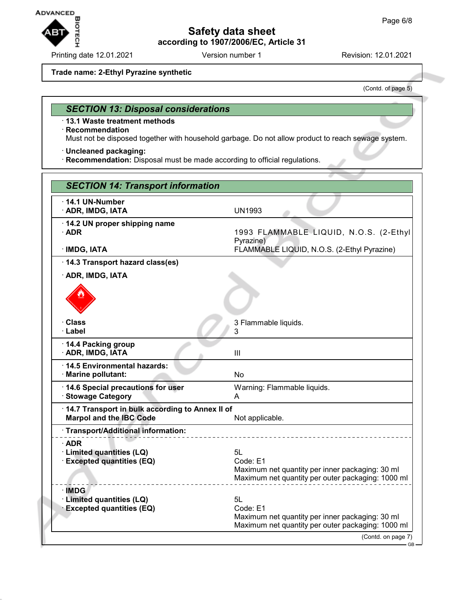

Printing date 12.01.2021 Version number 1 Revision: 12.01.2021

#### **Trade name: 2-Ethyl Pyrazine synthetic**

(Contd. of page 5)

## *SECTION 13: Disposal considerations*

· **13.1 Waste treatment methods**

#### · **Recommendation**

Must not be disposed together with household garbage. Do not allow product to reach sewage system.

· **Uncleaned packaging:**

· **Recommendation:** Disposal must be made according to official regulations.

| <b>SECTION 14: Transport information</b>                                          |                                                                                                                        |
|-----------------------------------------------------------------------------------|------------------------------------------------------------------------------------------------------------------------|
| $\cdot$ 14.1 UN-Number<br>· ADR, IMDG, IATA                                       | <b>UN1993</b>                                                                                                          |
| 14.2 UN proper shipping name<br>$\cdot$ ADR                                       | 1993 FLAMMABLE LIQUID, N.O.S. (2-Ethyl<br>Pyrazine)                                                                    |
| $\cdot$ IMDG, IATA                                                                | FLAMMABLE LIQUID, N.O.S. (2-Ethyl Pyrazine)                                                                            |
| 14.3 Transport hazard class(es)                                                   |                                                                                                                        |
| · ADR, IMDG, IATA                                                                 |                                                                                                                        |
|                                                                                   |                                                                                                                        |
| · Class<br>· Label                                                                | 3 Flammable liquids.<br>3                                                                                              |
| 14.4 Packing group<br>· ADR, IMDG, IATA                                           | III                                                                                                                    |
| 14.5 Environmental hazards:<br>· Marine pollutant:                                | No                                                                                                                     |
| 14.6 Special precautions for user<br><b>Stowage Category</b>                      | Warning: Flammable liquids.<br>A                                                                                       |
| 14.7 Transport in bulk according to Annex II of<br><b>Marpol and the IBC Code</b> | Not applicable.                                                                                                        |
| · Transport/Additional information:                                               |                                                                                                                        |
| $\cdot$ ADR<br>· Limited quantities (LQ)<br><b>Excepted quantities (EQ)</b>       | 5L<br>Code: E1<br>Maximum net quantity per inner packaging: 30 ml<br>Maximum net quantity per outer packaging: 1000 ml |
| · IMDG<br>· Limited quantities (LQ)<br><b>Excepted quantities (EQ)</b>            | 5L<br>Code: E1<br>Maximum net quantity per inner packaging: 30 ml<br>Maximum net quantity per outer packaging: 1000 ml |
|                                                                                   | (Contd. on page 7)<br>$GB -$                                                                                           |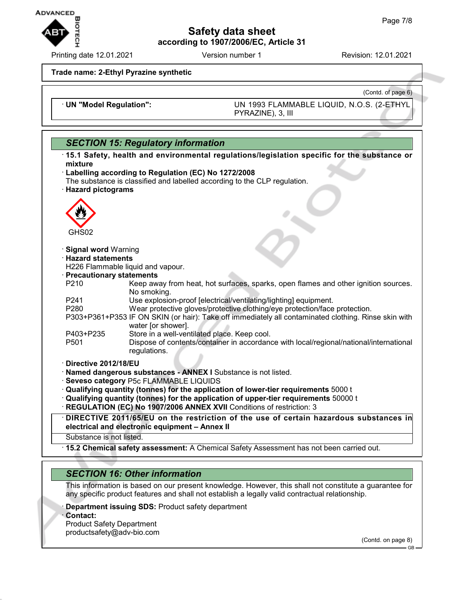

Printing date 12.01.2021 Version number 1 Revision: 12.01.2021

(Contd. of page 6)

**Trade name: 2-Ethyl Pyrazine synthetic**

· **UN "Model Regulation":** UN 1993 FLAMMABLE LIQUID, N.O.S. (2-ETHYL PYRAZINE), 3, III

# *SECTION 15: Regulatory information*

| <b>SLCTION TO. Regulatory information</b>                                                                                               |  |
|-----------------------------------------------------------------------------------------------------------------------------------------|--|
| $\cdot$ 15.1 Safety, health and environmental regulations/legislation specific for the substance or<br>mixture                          |  |
| · Labelling according to Regulation (EC) No 1272/2008                                                                                   |  |
| The substance is classified and labelled according to the CLP regulation.                                                               |  |
| · Hazard pictograms                                                                                                                     |  |
|                                                                                                                                         |  |
|                                                                                                                                         |  |
| GHS02                                                                                                                                   |  |
| · Signal word Warning                                                                                                                   |  |
| <b>Hazard statements</b>                                                                                                                |  |
| H226 Flammable liquid and vapour.                                                                                                       |  |
| · Precautionary statements                                                                                                              |  |
| Keep away from heat, hot surfaces, sparks, open flames and other ignition sources.<br>P <sub>210</sub><br>No smoking.                   |  |
| Use explosion-proof [electrical/ventilating/lighting] equipment.<br>P241                                                                |  |
| Wear protective gloves/protective clothing/eye protection/face protection.<br>P <sub>280</sub>                                          |  |
| P303+P361+P353 IF ON SKIN (or hair): Take off immediately all contaminated clothing. Rinse skin with<br>water [or shower].              |  |
| Store in a well-ventilated place. Keep cool.<br>P403+P235                                                                               |  |
| Dispose of contents/container in accordance with local/regional/national/international<br>P <sub>501</sub><br>regulations.              |  |
| Directive 2012/18/EU                                                                                                                    |  |
| · Named dangerous substances - ANNEX I Substance is not listed.                                                                         |  |
| · Seveso category P5c FLAMMABLE LIQUIDS                                                                                                 |  |
| $\cdot$ Qualifying quantity (tonnes) for the application of lower-tier requirements 5000 t                                              |  |
| · Qualifying quantity (tonnes) for the application of upper-tier requirements 50000 t                                                   |  |
| · REGULATION (EC) No 1907/2006 ANNEX XVII Conditions of restriction: 3                                                                  |  |
|                                                                                                                                         |  |
| DIRECTIVE 2011/65/EU on the restriction of the use of certain hazardous substances in<br>electrical and electronic equipment - Annex II |  |
| Substance is not listed.                                                                                                                |  |
| . 15.2 Chemical safety assessment: A Chemical Safety Assessment has not been carried out.                                               |  |

## *SECTION 16: Other information*

This information is based on our present knowledge. However, this shall not constitute a guarantee for any specific product features and shall not establish a legally valid contractual relationship.

- **Department issuing SDS: Product safety department**
- · **Contact:**

Product Safety Department productsafety@adv-bio.com

(Contd. on page 8)

GB